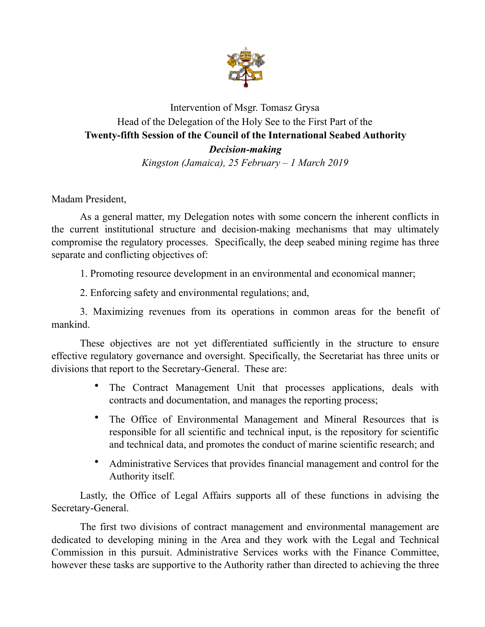

## Intervention of Msgr. Tomasz Grysa Head of the Delegation of the Holy See to the First Part of the **Twenty-fifth Session of the Council of the International Seabed Authority**  *Decision-making*

*Kingston (Jamaica), 25 February – 1 March 2019* 

Madam President,

As a general matter, my Delegation notes with some concern the inherent conflicts in the current institutional structure and decision-making mechanisms that may ultimately compromise the regulatory processes. Specifically, the deep seabed mining regime has three separate and conflicting objectives of:

1. Promoting resource development in an environmental and economical manner;

2. Enforcing safety and environmental regulations; and,

3. Maximizing revenues from its operations in common areas for the benefit of mankind.

These objectives are not yet differentiated sufficiently in the structure to ensure effective regulatory governance and oversight. Specifically, the Secretariat has three units or divisions that report to the Secretary-General. These are:

- The Contract Management Unit that processes applications, deals with contracts and documentation, and manages the reporting process;
- The Office of Environmental Management and Mineral Resources that is responsible for all scientific and technical input, is the repository for scientific and technical data, and promotes the conduct of marine scientific research; and
- Administrative Services that provides financial management and control for the Authority itself.

 Lastly, the Office of Legal Affairs supports all of these functions in advising the Secretary-General.

 The first two divisions of contract management and environmental management are dedicated to developing mining in the Area and they work with the Legal and Technical Commission in this pursuit. Administrative Services works with the Finance Committee, however these tasks are supportive to the Authority rather than directed to achieving the three